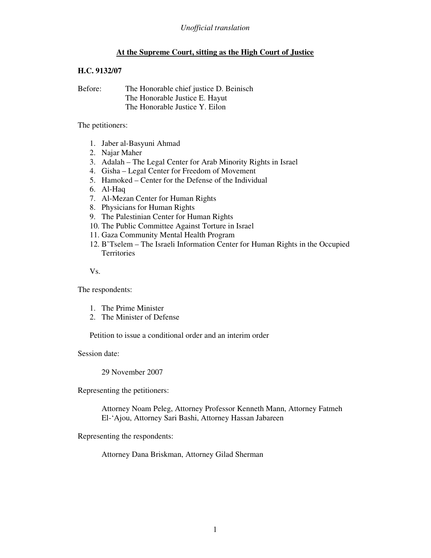# **At the Supreme Court, sitting as the High Court of Justice**

## **H.C. 9132/07**

Before: The Honorable chief justice D. Beinisch The Honorable Justice E. Hayut The Honorable Justice Y. Eilon

#### The petitioners:

- 1. Jaber al-Basyuni Ahmad
- 2. Najar Maher
- 3. Adalah The Legal Center for Arab Minority Rights in Israel
- 4. Gisha Legal Center for Freedom of Movement
- 5. Hamoked Center for the Defense of the Individual
- 6. Al-Haq
- 7. Al-Mezan Center for Human Rights
- 8. Physicians for Human Rights
- 9. The Palestinian Center for Human Rights
- 10. The Public Committee Against Torture in Israel
- 11. Gaza Community Mental Health Program
- 12. B'Tselem The Israeli Information Center for Human Rights in the Occupied Territories

Vs.

The respondents:

- 1. The Prime Minister
- 2. The Minister of Defense

Petition to issue a conditional order and an interim order

Session date:

29 November 2007

Representing the petitioners:

Attorney Noam Peleg, Attorney Professor Kenneth Mann, Attorney Fatmeh El-'Ajou, Attorney Sari Bashi, Attorney Hassan Jabareen

Representing the respondents:

Attorney Dana Briskman, Attorney Gilad Sherman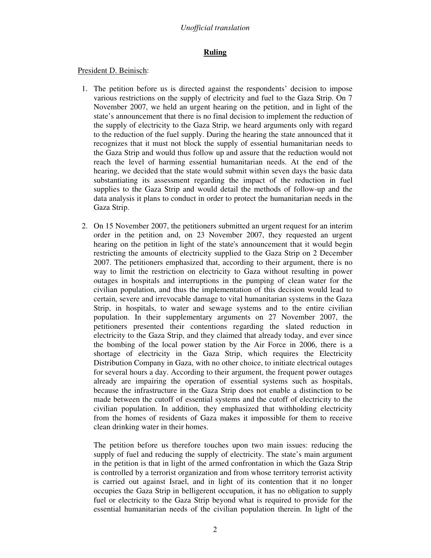## **Ruling**

### President D. Beinisch:

- 1. The petition before us is directed against the respondents' decision to impose various restrictions on the supply of electricity and fuel to the Gaza Strip. On 7 November 2007, we held an urgent hearing on the petition, and in light of the state's announcement that there is no final decision to implement the reduction of the supply of electricity to the Gaza Strip, we heard arguments only with regard to the reduction of the fuel supply. During the hearing the state announced that it recognizes that it must not block the supply of essential humanitarian needs to the Gaza Strip and would thus follow up and assure that the reduction would not reach the level of harming essential humanitarian needs. At the end of the hearing, we decided that the state would submit within seven days the basic data substantiating its assessment regarding the impact of the reduction in fuel supplies to the Gaza Strip and would detail the methods of follow-up and the data analysis it plans to conduct in order to protect the humanitarian needs in the Gaza Strip.
- 2. On 15 November 2007, the petitioners submitted an urgent request for an interim order in the petition and, on 23 November 2007, they requested an urgent hearing on the petition in light of the state's announcement that it would begin restricting the amounts of electricity supplied to the Gaza Strip on 2 December 2007. The petitioners emphasized that, according to their argument, there is no way to limit the restriction on electricity to Gaza without resulting in power outages in hospitals and interruptions in the pumping of clean water for the civilian population, and thus the implementation of this decision would lead to certain, severe and irrevocable damage to vital humanitarian systems in the Gaza Strip, in hospitals, to water and sewage systems and to the entire civilian population. In their supplementary arguments on 27 November 2007, the petitioners presented their contentions regarding the slated reduction in electricity to the Gaza Strip, and they claimed that already today, and ever since the bombing of the local power station by the Air Force in 2006, there is a shortage of electricity in the Gaza Strip, which requires the Electricity Distribution Company in Gaza, with no other choice, to initiate electrical outages for several hours a day. According to their argument, the frequent power outages already are impairing the operation of essential systems such as hospitals, because the infrastructure in the Gaza Strip does not enable a distinction to be made between the cutoff of essential systems and the cutoff of electricity to the civilian population. In addition, they emphasized that withholding electricity from the homes of residents of Gaza makes it impossible for them to receive clean drinking water in their homes.

The petition before us therefore touches upon two main issues: reducing the supply of fuel and reducing the supply of electricity. The state's main argument in the petition is that in light of the armed confrontation in which the Gaza Strip is controlled by a terrorist organization and from whose territory terrorist activity is carried out against Israel, and in light of its contention that it no longer occupies the Gaza Strip in belligerent occupation, it has no obligation to supply fuel or electricity to the Gaza Strip beyond what is required to provide for the essential humanitarian needs of the civilian population therein. In light of the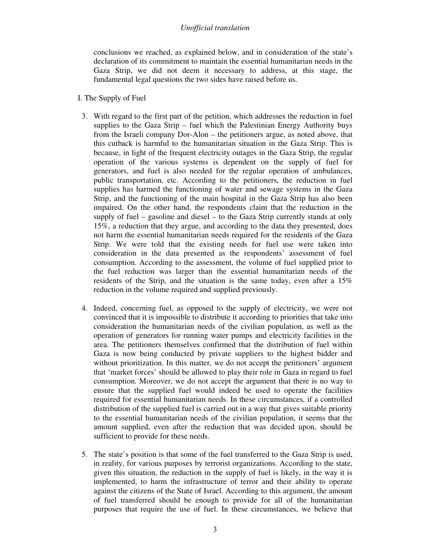conclusions we reached, as explained below, and in consideration of the state's declaration of its commitment to maintain the essential humanitarian needs in the Gaza Strip, we did not deem it necessary to address, at this stage, the fundamental legal questions the two sides have raised before us.

#### I. The Supply of Fuel

- 3. With regard to the first part of the petition, which addresses the reduction in fuel supplies to the Gaza Strip – fuel which the Palestinian Energy Authority buys from the Israeli company Dor-Alon – the petitioners argue, as noted above, that this cutback is harmful to the humanitarian situation in the Gaza Strip. This is because, in light of the frequent electricity outages in the Gaza Strip, the regular operation of the various systems is dependent on the supply of fuel for generators, and fuel is also needed for the regular operation of ambulances, public transportation, etc. According to the petitioners, the reduction in fuel supplies has harmed the functioning of water and sewage systems in the Gaza Strip, and the functioning of the main hospital in the Gaza Strip has also been impaired. On the other hand, the respondents claim that the reduction in the supply of fuel – gasoline and diesel – to the Gaza Strip currently stands at only 15%, a reduction that they argue, and according to the data they presented, does not harm the essential humanitarian needs required for the residents of the Gaza Strip. We were told that the existing needs for fuel use were taken into consideration in the data presented as the respondents' assessment of fuel consumption. According to the assessment, the volume of fuel supplied prior to the fuel reduction was larger than the essential humanitarian needs of the residents of the Strip, and the situation is the same today, even after a 15% reduction in the volume required and supplied previously.
- 4. Indeed, concerning fuel, as opposed to the supply of electricity, we were not convinced that it is impossible to distribute it according to priorities that take into consideration the humanitarian needs of the civilian population, as well as the operation of generators for running water pumps and electricity facilities in the area. The petitioners themselves confirmed that the distribution of fuel within Gaza is now being conducted by private suppliers to the highest bidder and without prioritization. In this matter, we do not accept the petitioners' argument that 'market forces' should be allowed to play their role in Gaza in regard to fuel consumption. Moreover, we do not accept the argument that there is no way to ensure that the supplied fuel would indeed be used to operate the facilities required for essential humanitarian needs. In these circumstances, if a controlled distribution of the supplied fuel is carried out in a way that gives suitable priority to the essential humanitarian needs of the civilian population, it seems that the amount supplied, even after the reduction that was decided upon, should be sufficient to provide for these needs.
- 5. The state's position is that some of the fuel transferred to the Gaza Strip is used, in reality, for various purposes by terrorist organizations. According to the state, given this situation, the reduction in the supply of fuel is likely, in the way it is implemented, to harm the infrastructure of terror and their ability to operate against the citizens of the State of Israel. According to this argument, the amount of fuel transferred should be enough to provide for all of the humanitarian purposes that require the use of fuel. In these circumstances, we believe that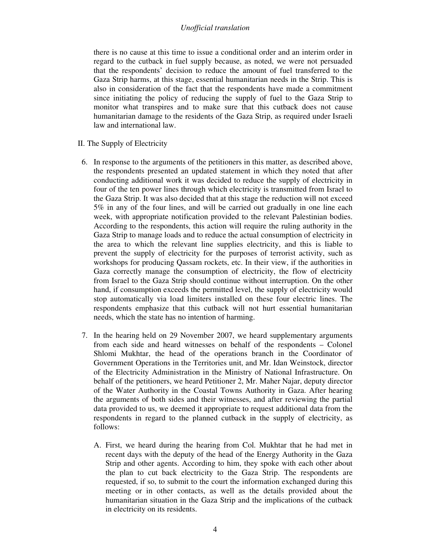there is no cause at this time to issue a conditional order and an interim order in regard to the cutback in fuel supply because, as noted, we were not persuaded that the respondents' decision to reduce the amount of fuel transferred to the Gaza Strip harms, at this stage, essential humanitarian needs in the Strip. This is also in consideration of the fact that the respondents have made a commitment since initiating the policy of reducing the supply of fuel to the Gaza Strip to monitor what transpires and to make sure that this cutback does not cause humanitarian damage to the residents of the Gaza Strip, as required under Israeli law and international law.

II. The Supply of Electricity

- 6. In response to the arguments of the petitioners in this matter, as described above, the respondents presented an updated statement in which they noted that after conducting additional work it was decided to reduce the supply of electricity in four of the ten power lines through which electricity is transmitted from Israel to the Gaza Strip. It was also decided that at this stage the reduction will not exceed 5% in any of the four lines, and will be carried out gradually in one line each week, with appropriate notification provided to the relevant Palestinian bodies. According to the respondents, this action will require the ruling authority in the Gaza Strip to manage loads and to reduce the actual consumption of electricity in the area to which the relevant line supplies electricity, and this is liable to prevent the supply of electricity for the purposes of terrorist activity, such as workshops for producing Qassam rockets, etc. In their view, if the authorities in Gaza correctly manage the consumption of electricity, the flow of electricity from Israel to the Gaza Strip should continue without interruption. On the other hand, if consumption exceeds the permitted level, the supply of electricity would stop automatically via load limiters installed on these four electric lines. The respondents emphasize that this cutback will not hurt essential humanitarian needs, which the state has no intention of harming.
- 7. In the hearing held on 29 November 2007, we heard supplementary arguments from each side and heard witnesses on behalf of the respondents – Colonel Shlomi Mukhtar, the head of the operations branch in the Coordinator of Government Operations in the Territories unit, and Mr. Idan Weinstock, director of the Electricity Administration in the Ministry of National Infrastructure. On behalf of the petitioners, we heard Petitioner 2, Mr. Maher Najar, deputy director of the Water Authority in the Coastal Towns Authority in Gaza. After hearing the arguments of both sides and their witnesses, and after reviewing the partial data provided to us, we deemed it appropriate to request additional data from the respondents in regard to the planned cutback in the supply of electricity, as follows:
	- A. First, we heard during the hearing from Col. Mukhtar that he had met in recent days with the deputy of the head of the Energy Authority in the Gaza Strip and other agents. According to him, they spoke with each other about the plan to cut back electricity to the Gaza Strip. The respondents are requested, if so, to submit to the court the information exchanged during this meeting or in other contacts, as well as the details provided about the humanitarian situation in the Gaza Strip and the implications of the cutback in electricity on its residents.